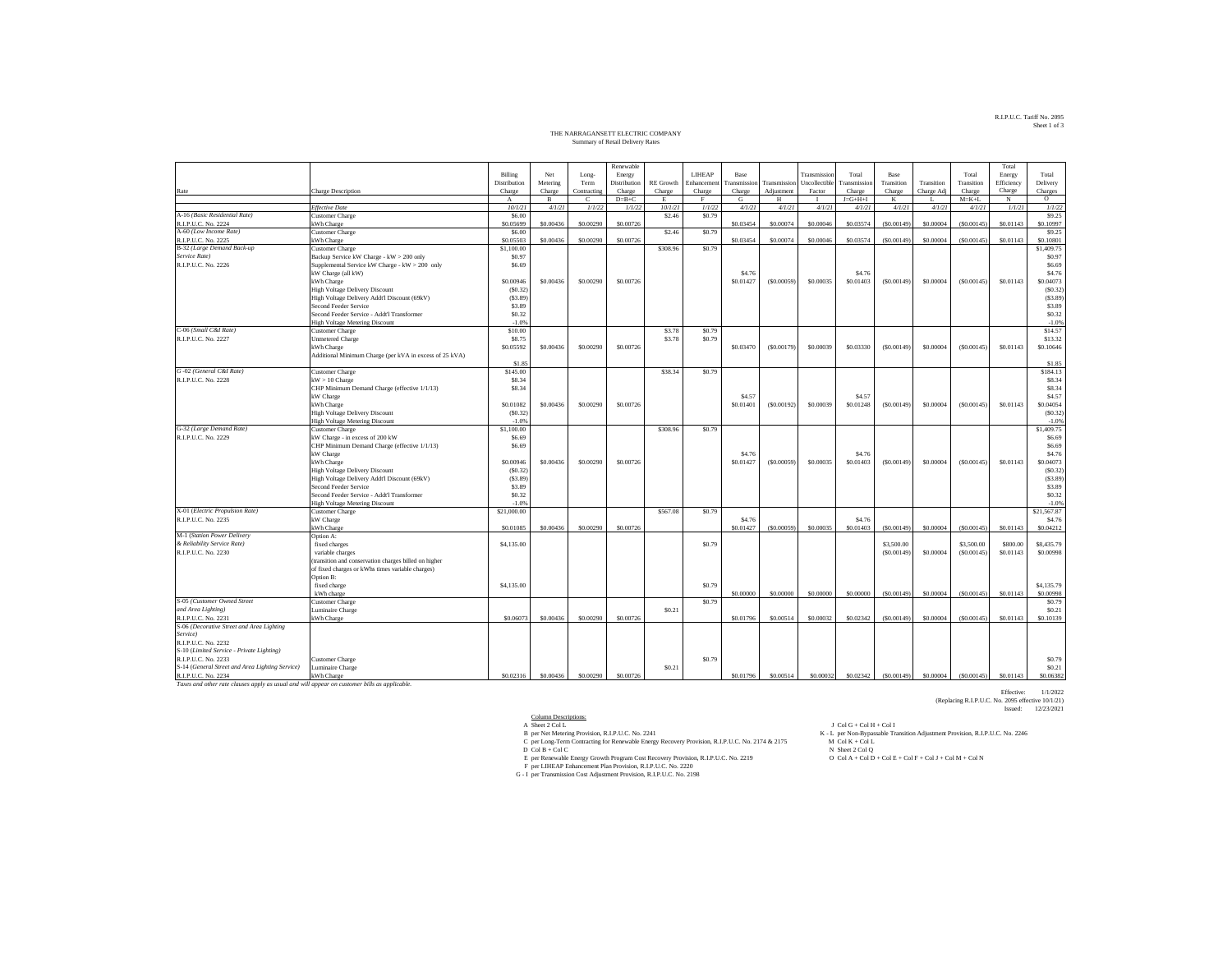## R.I.P.U.C. Tariff No. 2095 Sheet 1 of 3

## THE NARRAGANSETT ELECTRIC COMPANY Summary of Retail Delivery Rates

|                                                                                              |                                                                  |                  |              |             | Renewable    |                   |              |                   |              |               |                 |             |            |             | Total      |                         |
|----------------------------------------------------------------------------------------------|------------------------------------------------------------------|------------------|--------------|-------------|--------------|-------------------|--------------|-------------------|--------------|---------------|-----------------|-------------|------------|-------------|------------|-------------------------|
|                                                                                              |                                                                  | Billing          | Net          | Long-       | Energy       |                   | LIHEAP       | Base              |              | Transmissio   | Total           | <b>Base</b> |            | Total       | Energy     | Total                   |
|                                                                                              |                                                                  | Distribution     | Metering     | Term        | Distribution | <b>RE</b> Growth  | Enhancemen   | ransmission       | Transmission | Uncollectible | Transmission    | Transition  | Transition | Transition  | Efficiency | Delivery                |
| Rate                                                                                         | Charge Description                                               | Charge           | Charge       | Contracting | Charge       | Charge            | Charge       | Charge            | Adjustment   | Factor        | Charge          | Charge      | Charge Adj | Charge      | Charge     | Charges                 |
|                                                                                              |                                                                  | $_{\rm A}$       | $\mathbf{B}$ | Ċ           | $D=B+C$      | E                 | $\mathbf{F}$ | G                 | H            |               | $J = G + H + I$ | K           |            | $M = K + L$ | N          | $\circ$                 |
|                                                                                              | <b>Effective Date</b>                                            | 10/1/21          | 4/1/21       | 1/1/22      | 1/1/22       | 10/1/21           | 1/1/22       | 4/1/21            | 4/1/21       | 4/1/21        | 4/1/21          | 4/1/21      | 4/1/21     | 4/1/21      | 1/1/21     | 1/1/22                  |
| A-16 (Basic Residential Rate)                                                                | <b>Customer Charge</b>                                           | \$6.00           |              |             |              | \$2.46            | \$0.79       |                   |              |               |                 |             |            |             |            | \$9.25                  |
| R.I.P.U.C. No. 2224                                                                          | kWh Charge                                                       | \$0.05699        | \$0,00436    | \$0,00290   | \$0,00726    |                   |              | \$0.03454         | \$0,00074    | \$0.00046     | \$0.03574       | (S0.00149)  | \$0,00004  | (S0,00145)  | \$0.01143  | \$0,10997               |
| A-60 (Low Income Rate)                                                                       | <b>Customer Charge</b>                                           | \$6.00           |              |             |              | \$2.46            | \$0.79       |                   |              |               |                 |             |            |             |            | \$9.25                  |
| R.I.P.U.C. No. 2225                                                                          | kWh Charge                                                       | \$0.05503        | \$0,00436    | \$0,00290   | \$0,00726    |                   |              | \$0.03454         | \$0,00074    | \$0,00046     | \$0,03574       | (S0.00149)  | \$0,00004  | (S0,00145)  | \$0.01143  | \$0,10801               |
| B-32 (Large Demand Back-up                                                                   | <b>Customer Charge</b>                                           | \$1,100.00       |              |             |              | \$308.96          | \$0.79       |                   |              |               |                 |             |            |             |            | \$1,409.75              |
| Service Rate)                                                                                | Backup Service kW Charge - kW > 200 only                         | \$0.97           |              |             |              |                   |              |                   |              |               |                 |             |            |             |            | S <sub>0.97</sub>       |
| R.I.P.U.C. No. 2226                                                                          | Supplemental Service kW Charge - kW > 200 only                   | \$6.69           |              |             |              |                   |              |                   |              |               |                 |             |            |             |            | \$6.69                  |
|                                                                                              | kW Charge (all kW)                                               |                  |              |             |              |                   |              | \$4.76            |              |               | \$4.76          |             |            |             |            | \$4.76                  |
|                                                                                              | kWh Charge                                                       | \$0.00946        | \$0.00436    | \$0,00290   | \$0,00726    |                   |              | \$0.01427         | (S0.00059)   | \$0,00035     | \$0,01403       | (S0.00149)  | \$0.00004  | (S0.00145)  | \$0.01143  | \$0.04073               |
|                                                                                              | High Voltage Delivery Discount                                   | (S0.32)          |              |             |              |                   |              |                   |              |               |                 |             |            |             |            | (S0.32)                 |
|                                                                                              | High Voltage Delivery Addt'l Discount (69kV)                     | (S3.89)          |              |             |              |                   |              |                   |              |               |                 |             |            |             |            | (S3.89)                 |
|                                                                                              | Second Feeder Service                                            | \$3.89           |              |             |              |                   |              |                   |              |               |                 |             |            |             |            | \$3.89                  |
|                                                                                              | Second Feeder Service - Addt'l Transformer                       | \$0.32           |              |             |              |                   |              |                   |              |               |                 |             |            |             |            | \$0.32                  |
|                                                                                              | <b>High Voltage Metering Discount</b>                            | $-1.0%$          |              |             |              |                   |              |                   |              |               |                 |             |            |             |            | $-1.0%$                 |
| C-06 (Small C&I Rate)                                                                        | <b>Customer Charge</b>                                           | \$10.00          |              |             |              | \$3.78            | \$0.79       |                   |              |               |                 |             |            |             |            | \$14.57                 |
| R.I.P.U.C. No. 2227                                                                          | <b>Unmetered Charge</b>                                          | \$8.75           |              |             |              | \$3.78            | \$0.79       |                   |              |               |                 |             |            |             |            | \$13.32                 |
|                                                                                              | kWh Charge                                                       | \$0.05592        | \$0,00436    | \$0,00290   | \$0,00726    |                   |              | \$0.03470         | (S0.00179)   | \$0,00039     | \$0,03330       | (S0,00149)  | \$0,00004  | (S0,00145)  | \$0.01143  | \$0.10646               |
|                                                                                              | Additional Minimum Charge (per kVA in excess of 25 kVA)          |                  |              |             |              |                   |              |                   |              |               |                 |             |            |             |            |                         |
|                                                                                              |                                                                  | \$1.85           |              |             |              |                   |              |                   |              |               |                 |             |            |             |            | \$1.85                  |
| G-02 (General C&I Rate)                                                                      | <b>Customer Charge</b>                                           | \$145.00         |              |             |              | \$38.34           | \$0.79       |                   |              |               |                 |             |            |             |            | \$184.13                |
| R.I.P.U.C. No. 2228                                                                          | $kW > 10$ Charge<br>CHP Minimum Demand Charge (effective 1/1/13) | \$8.34<br>\$8.34 |              |             |              |                   |              |                   |              |               |                 |             |            |             |            | \$8.34<br>\$8.34        |
|                                                                                              | kW Charge                                                        |                  |              |             |              |                   |              | \$4.57            |              |               | \$4.57          |             |            |             |            | \$4.57                  |
|                                                                                              | kWh Charge                                                       | \$0.01082        | \$0.00436    | \$0,00290   | \$0,00726    |                   |              | \$0.01401         | (S0.00192)   | \$0.00039     | \$0.01248       | (S0.00149)  | \$0.00004  | (S0.00145)  | \$0.01143  | \$0.04054               |
|                                                                                              | <b>High Voltage Delivery Discount</b>                            | (S0.32)          |              |             |              |                   |              |                   |              |               |                 |             |            |             |            | (S0.32)                 |
|                                                                                              | <b>High Voltage Metering Discount</b>                            | $-1.09$          |              |             |              |                   |              |                   |              |               |                 |             |            |             |            | $-1.0%$                 |
| G-32 (Large Demand Rate)                                                                     | <b>Customer Charge</b>                                           | \$1,100.00       |              |             |              | \$308.96          | \$0.79       |                   |              |               |                 |             |            |             |            | \$1,409.75              |
| R.I.P.U.C. No. 2229                                                                          | kW Charge - in excess of 200 kW                                  | \$6.69           |              |             |              |                   |              |                   |              |               |                 |             |            |             |            | \$6.69                  |
|                                                                                              | CHP Minimum Demand Charge (effective 1/1/13)                     | \$6.69           |              |             |              |                   |              |                   |              |               |                 |             |            |             |            | \$6.69                  |
|                                                                                              | kW Charge                                                        |                  |              |             |              |                   |              | \$4.76            |              |               | S4.76           |             |            |             |            | \$4.76                  |
|                                                                                              | kWh Charge                                                       | \$0.00946        | \$0.00436    | \$0,00290   | \$0.00726    |                   |              | \$0.01427         | (S0.00059)   | \$0.00035     | \$0.01403       | (S0.00149)  | \$0.00004  | (S0.00145)  | \$0.01143  | \$0.04073               |
|                                                                                              | <b>High Voltage Delivery Discount</b>                            | (S0.32)          |              |             |              |                   |              |                   |              |               |                 |             |            |             |            | (S0.32)                 |
|                                                                                              | High Voltage Delivery Addt'l Discount (69kV)                     | (S3.89)          |              |             |              |                   |              |                   |              |               |                 |             |            |             |            | (S3.89)                 |
|                                                                                              | Second Feeder Service                                            | \$3.89           |              |             |              |                   |              |                   |              |               |                 |             |            |             |            | \$3.89                  |
|                                                                                              | Second Feeder Service - Addt'l Transformer                       | \$0.32           |              |             |              |                   |              |                   |              |               |                 |             |            |             |            | \$0.32                  |
|                                                                                              | <b>High Voltage Metering Discount</b>                            | $-1.09$          |              |             |              |                   |              |                   |              |               |                 |             |            |             |            | $-1.0%$                 |
| X-01 (Electric Propulsion Rate)                                                              | Customer Charge                                                  | \$21,000.00      |              |             |              | \$567.08          | \$0.79       |                   |              |               |                 |             |            |             |            | \$21,567.87             |
| R.I.P.U.C. No. 2235                                                                          | kW Charge                                                        |                  |              |             |              |                   |              | S <sub>4.76</sub> |              |               | S4.76           |             |            |             |            | \$4.76                  |
|                                                                                              | kWh Charge                                                       | \$0,01085        | \$0,00436    | \$0,00290   | \$0,00726    |                   |              | \$0.01427         | (\$0,00059   | \$0.00035     | \$0,01403       | (S0.00149)  | \$0,00004  | (S0,00145)  | \$0.01143  | \$0.04212               |
| M-1 (Station Power Delivery                                                                  | Option A:                                                        |                  |              |             |              |                   |              |                   |              |               |                 |             |            |             |            |                         |
| & Reliability Service Rate)                                                                  | fixed charges                                                    | \$4,135.00       |              |             |              |                   | \$0.79       |                   |              |               |                 | \$3,500.00  |            | \$3,500.00  | \$800.00   | \$8,435.79              |
| R.I.P.U.C. No. 2230                                                                          | variable charges                                                 |                  |              |             |              |                   |              |                   |              |               |                 | (S0.00149)  | \$0.00004  | (S0.00145)  | \$0.01143  | \$0.00998               |
|                                                                                              | (transition and conservation charges billed on higher            |                  |              |             |              |                   |              |                   |              |               |                 |             |            |             |            |                         |
|                                                                                              | of fixed charges or kWhs times variable charges)                 |                  |              |             |              |                   |              |                   |              |               |                 |             |            |             |            |                         |
|                                                                                              | Option B:                                                        |                  |              |             |              |                   |              |                   |              |               |                 |             |            |             |            |                         |
|                                                                                              | fixed charge                                                     | \$4,135.00       |              |             |              |                   | \$0.79       | \$0,00000         | \$0,00000    | \$0,00000     | \$0,00000       | (S0.00149)  | \$0,00004  | (S0.00145)  | \$0.01143  | \$4,135.79<br>\$0.00998 |
| S-05 (Customer Owned Street                                                                  | kWh charge                                                       |                  |              |             |              |                   | \$0.79       |                   |              |               |                 |             |            |             |            | \$0.79                  |
| and Area Lighting)                                                                           | <b>Customer Charge</b><br>Luminaire Charge                       |                  |              |             |              | \$0.21            |              |                   |              |               |                 |             |            |             |            | \$0.21                  |
| R.I.P.U.C. No. 2231                                                                          | kWh Charge                                                       | \$0,06073        | \$0,00436    | \$0,00290   | \$0,00726    |                   |              | \$0.01796         | \$0,00514    | \$0,00032     | \$0.02342       | (S0.00149)  | \$0,00004  | (S0,00145)  | \$0.01143  | \$0.10139               |
| S-06 (Decorative Street and Area Lighting                                                    |                                                                  |                  |              |             |              |                   |              |                   |              |               |                 |             |            |             |            |                         |
| Service)                                                                                     |                                                                  |                  |              |             |              |                   |              |                   |              |               |                 |             |            |             |            |                         |
| R.I.P.U.C. No. 2232                                                                          |                                                                  |                  |              |             |              |                   |              |                   |              |               |                 |             |            |             |            |                         |
| S-10 (Limited Service - Private Lighting)                                                    |                                                                  |                  |              |             |              |                   |              |                   |              |               |                 |             |            |             |            |                         |
| R.I.P.U.C. No. 2233                                                                          | Customer Charge                                                  |                  |              |             |              |                   | \$0.79       |                   |              |               |                 |             |            |             |            | \$0.79                  |
| S-14 (General Street and Area Lighting Service)                                              | Luminaire Charge                                                 |                  |              |             |              | S <sub>0.21</sub> |              |                   |              |               |                 |             |            |             |            | \$0.21                  |
| R.I.P.U.C. No. 2234                                                                          | kWh Charge                                                       | \$0.02316        | \$0,00436    | \$0,00290   | \$0,00726    |                   |              | \$0.01796         | \$0,00514    | \$0,00032     | \$0.02342       | (S0.00149)  | \$0,00004  | (50,00145)  | \$0.01143  | \$0.06382               |
| Taxes and other rate clauses apply as usual and will appear on customer bills as applicable. |                                                                  |                  |              |             |              |                   |              |                   |              |               |                 |             |            |             |            |                         |

Effective: 1/1/2022 (Replacing R.I.P.U.C. No. 2095 effective 10/1/21) Issued: 12/23/2021

 $\begin{tabular}{ll} \multicolumn{2}{l}{{\bf{A} 6} {\bf{B} 6} {\bf{C} 6} {\bf{C} 7} {\bf{D} 8} {\bf{D} 8} {\bf{D} 9} {\bf{D} 9} {\bf{D} 9} {\bf{D} 9} {\bf{D} 9} {\bf{D} 9} {\bf{D} 9} {\bf{D} 9} {\bf{D} 9} {\bf{D} 9} {\bf{D} 9} {\bf{D} 9} {\bf{D} 9} {\bf{D} 9} {\bf{D} 9} {\bf{D} 9} {\bf{D} 9} {\bf{D} 9} {\bf{D} 9} {\bf$ 

- 
- 
-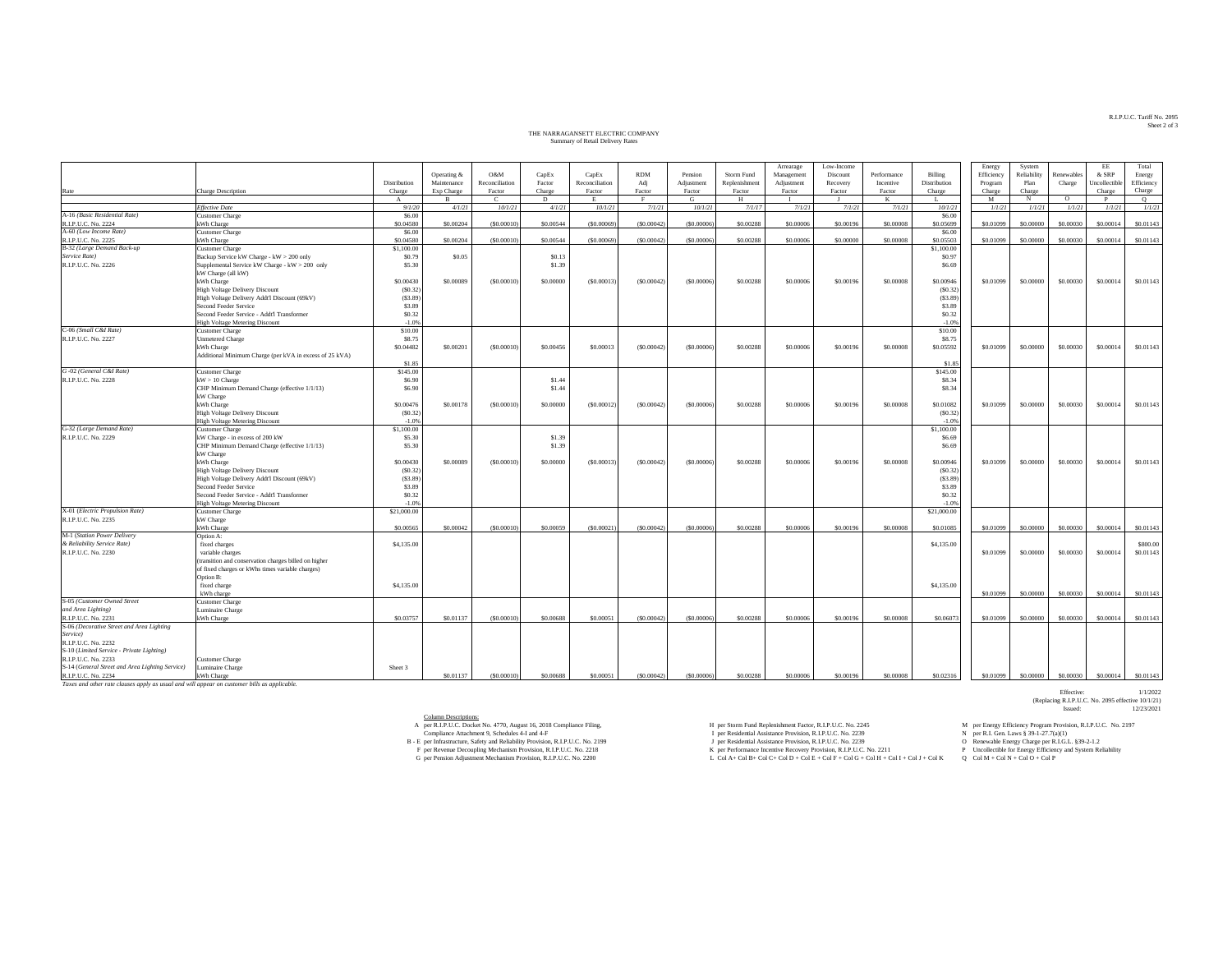## THE NARRAGANSETT ELECTRIC COMPANY THE NARRAGANSETT ELECTRIC COMPANY Summary of Retail Delivery Rates

|                                                                                              |                                                           |                  |              |                           |                  |                |             |              |               | Arrearage    | Low-Income |             |                   | Energy     | System      |            | EE            | Total      |
|----------------------------------------------------------------------------------------------|-----------------------------------------------------------|------------------|--------------|---------------------------|------------------|----------------|-------------|--------------|---------------|--------------|------------|-------------|-------------------|------------|-------------|------------|---------------|------------|
|                                                                                              |                                                           |                  | Operating &  | O&M                       | CapEx            | CapEx          | <b>RDM</b>  | Pension      | Storm Fund    | Management   | Discount   | Performance | Billing           | Efficiency | Reliability | Renewables | & SRP         | Energy     |
|                                                                                              |                                                           | Distribution     | Maintenance  | Reconciliation            | Factor           | Reconciliation | Adj         | Adjustment   | Replenishment | Adjustment   | Recovery   | Incentive   | Distribution      | Program    | Plan        | Charge     | Uncollectible | Efficiency |
| Rate                                                                                         | Charge Description                                        | Charge           | Exp Charge   | Factor                    | Charge           | Factor         | Factor      | Factor       | Factor        | Factor       | Factor     | Factor      | Charge            | Charge     | Charge      |            | Charge        | Charge     |
|                                                                                              | <b>Effective Date</b>                                     | $\mathbf{A}$     | $\mathbf{R}$ | <sup>-</sup> C<br>10/1/21 | D                | 10/1/21        | F           | G            | н             | $\mathbf{I}$ |            | K           | L.                | M          | N           | $\circ$    | P             | $\circ$    |
| A-16 (Basic Residential Rate)                                                                | <b>Customer</b> Charge                                    | 9/1/20<br>\$6.00 | 4/1/21       |                           | 4/1/21           |                | 7/1/21      | 10/1/21      | 7/1/17        | 7/1/21       | 7/1/21     | 7/1/21      | 10/1/21<br>\$6.00 | 1/1/21     | 1/1/21      | 1/1/21     | 1/1/21        | 1/1/21     |
| R.I.P.U.C. No. 2224                                                                          | kWh Charge                                                | \$0.04580        | \$0.00204    | (S0,00010                 | \$0,00544        | ( \$0,00069    | (S0.00042)  | ( \$0,00006) | \$0,00288     | \$0,00006    | \$0,00196  | \$0,00008   | \$0.05699         | \$0.01099  | \$0,00000   | \$0,00030  | \$0,00014     | \$0.01143  |
| A-60 (Low Income Rate)                                                                       | <b>Customer Charge</b>                                    | \$6.00           |              |                           |                  |                |             |              |               |              |            |             | \$6.00            |            |             |            |               |            |
| R.I.P.U.C. No. 2225                                                                          | kWh Charge                                                | \$0,04580        | \$0.00204    | (S0.00010)                | \$0.00544        | ( \$0,00069    | (S0.00042)  | ( \$0.00006) | \$0,00288     | \$0,00006    | \$0,00000  | \$0,00008   | \$0.05503         | \$0.01099  | \$0,00000   | \$0,00030  | \$0,00014     | \$0.01143  |
| B-32 (Large Demand Back-up                                                                   | <b>Customer Charge</b>                                    | \$1,100.00       |              |                           |                  |                |             |              |               |              |            |             | \$1,100.00        |            |             |            |               |            |
| Service Rate)                                                                                | Backup Service kW Charge - kW > 200 only                  | \$0.79           | \$0.05       |                           | \$0.13           |                |             |              |               |              |            |             | \$0.97            |            |             |            |               |            |
| R.I.P.U.C. No. 2226                                                                          | Supplemental Service kW Charge - kW > 200 only            | \$5.30           |              |                           | \$1.39           |                |             |              |               |              |            |             | \$6.69            |            |             |            |               |            |
|                                                                                              | kW Charge (all kW)                                        |                  |              |                           |                  |                |             |              |               |              |            |             |                   |            |             |            |               |            |
|                                                                                              | kWh Charge                                                | \$0.00430        | \$0.00089    | (S0.00010)                | \$0.00000        | (S0.00013)     | (S0.00042)  | (50.00006)   | \$0.00288     | \$0.00006    | \$0.00196  | \$0.00008   | \$0.00946         | \$0.01099  | \$0.00000   | \$0.00030  | \$0.00014     | \$0.01143  |
|                                                                                              | <b>High Voltage Delivery Discount</b>                     | (S0.32)          |              |                           |                  |                |             |              |               |              |            |             | (S0.32)           |            |             |            |               |            |
|                                                                                              | High Voltage Delivery Addt'l Discount (69kV)              | (S3.89)          |              |                           |                  |                |             |              |               |              |            |             | (S3.89)           |            |             |            |               |            |
|                                                                                              | Second Feeder Service                                     | \$3.89           |              |                           |                  |                |             |              |               |              |            |             | \$3.89            |            |             |            |               |            |
|                                                                                              | Second Feeder Service - Addt'l Transformer                | \$0.32           |              |                           |                  |                |             |              |               |              |            |             | \$0.32            |            |             |            |               |            |
|                                                                                              | <b>High Voltage Metering Discount</b>                     | $-1.0%$          |              |                           |                  |                |             |              |               |              |            |             | $-1.0%$           |            |             |            |               |            |
| C-06 (Small C&I Rate)                                                                        | <b>Customer Charge</b>                                    | \$10.00          |              |                           |                  |                |             |              |               |              |            |             | \$10.00           |            |             |            |               |            |
| R.I.P.U.C. No. 2227                                                                          | <b>Unmetered Charge</b>                                   | \$8.75           |              |                           |                  |                |             |              |               |              |            |             | \$8.75            |            |             |            |               |            |
|                                                                                              | kWh Charge                                                | \$0.04482        | \$0.00201    | (S0.00010)                | \$0.00456        | \$0.00013      | (S0.00042)  | (S0.00006)   | \$0.00288     | \$0.00006    | \$0.00196  | \$0.00008   | \$0.05592         | \$0.01099  | \$0.00000   | \$0.00030  | \$0.00014     | \$0.01143  |
|                                                                                              | Additional Minimum Charge (per kVA in excess of 25 kVA)   |                  |              |                           |                  |                |             |              |               |              |            |             |                   |            |             |            |               |            |
|                                                                                              |                                                           | \$1.85           |              |                           |                  |                |             |              |               |              |            |             | \$1.85            |            |             |            |               |            |
| G-02 (General C&I Rate)                                                                      | <b>Customer Charge</b>                                    | \$145.00         |              |                           |                  |                |             |              |               |              |            |             | \$145.00          |            |             |            |               |            |
| R.I.P.U.C. No. 2228                                                                          | $kW > 10$ Charge                                          | \$6.90<br>\$6.90 |              |                           | \$1.44<br>\$1.44 |                |             |              |               |              |            |             | \$8.34<br>\$8.34  |            |             |            |               |            |
|                                                                                              | CHP Minimum Demand Charge (effective 1/1/13)<br>kW Charge |                  |              |                           |                  |                |             |              |               |              |            |             |                   |            |             |            |               |            |
|                                                                                              | kWh Charge                                                | \$0,00476        | \$0,00178    | (S0,00010)                | \$0,00000        | (S0,00012)     | (S0.00042)  | (50,00006)   | \$0,00288     | \$0,00006    | \$0,00196  | \$0,00008   | \$0,01082         | \$0.01099  | \$0,00000   | \$0,00030  | \$0,00014     | \$0.01143  |
|                                                                                              | <b>High Voltage Delivery Discount</b>                     | (S0.32)          |              |                           |                  |                |             |              |               |              |            |             | (S0.32)           |            |             |            |               |            |
|                                                                                              | <b>High Voltage Metering Discount</b>                     | $-1.0%$          |              |                           |                  |                |             |              |               |              |            |             | $-1.0%$           |            |             |            |               |            |
| G-32 (Large Demand Rate)                                                                     | <b>Customer Charge</b>                                    | \$1,100.00       |              |                           |                  |                |             |              |               |              |            |             | \$1,100.00        |            |             |            |               |            |
| R.I.P.U.C. No. 2229                                                                          | kW Charge - in excess of 200 kW                           | \$5.30           |              |                           | \$1.39           |                |             |              |               |              |            |             | \$6.69            |            |             |            |               |            |
|                                                                                              | CHP Minimum Demand Charge (effective 1/1/13)              | \$5.30           |              |                           | \$1.39           |                |             |              |               |              |            |             | \$6.69            |            |             |            |               |            |
|                                                                                              | kW Charge                                                 |                  |              |                           |                  |                |             |              |               |              |            |             |                   |            |             |            |               |            |
|                                                                                              | kWh Charge                                                | \$0.00430        | \$0,00089    | ( \$0.00010)              | \$0,00000        | (S0.00013)     | (S0.00042)  | ( \$0.00006) | \$0,00288     | \$0,00006    | \$0,00196  | \$0,00008   | \$0.00946         | \$0.01099  | \$0,00000   | \$0,00030  | \$0,00014     | \$0.01143  |
|                                                                                              | High Voltage Delivery Discount                            | (S0.32)          |              |                           |                  |                |             |              |               |              |            |             | (S0.32)           |            |             |            |               |            |
|                                                                                              | High Voltage Delivery Addt'l Discount (69kV)              | (S3.89)          |              |                           |                  |                |             |              |               |              |            |             | (S3.89)           |            |             |            |               |            |
|                                                                                              | Second Feeder Service                                     | \$3.89           |              |                           |                  |                |             |              |               |              |            |             | \$3.89            |            |             |            |               |            |
|                                                                                              | Second Feeder Service - Addt'l Transformer                | \$0.32           |              |                           |                  |                |             |              |               |              |            |             | \$0.32            |            |             |            |               |            |
|                                                                                              | <b>High Voltage Metering Discount</b>                     | $-1.0%$          |              |                           |                  |                |             |              |               |              |            |             | $-1.0%$           |            |             |            |               |            |
| X-01 (Electric Propulsion Rate)                                                              | <b>Customer Charge</b>                                    | \$21,000.00      |              |                           |                  |                |             |              |               |              |            |             | \$21,000.00       |            |             |            |               |            |
| R.I.P.U.C. No. 2235                                                                          | kW Charge                                                 |                  |              |                           |                  |                |             |              |               |              |            |             |                   |            |             |            |               |            |
|                                                                                              | kWh Charge                                                | \$0,00565        | \$0,00042    | ( \$0,00010               | \$0,00059        | (S0,00021)     | (\$0,00042) | (50,00006)   | \$0,00288     | \$0,00006    | \$0,00196  | \$0,00008   | \$0,01085         | \$0.01099  | \$0,00000   | \$0,00030  | \$0,00014     | \$0.01143  |
| M-1 (Station Power Delivery<br>& Reliability Service Rate)                                   | Option A:                                                 | \$4,135.00       |              |                           |                  |                |             |              |               |              |            |             | \$4,135.00        |            |             |            |               | \$800.00   |
|                                                                                              | fixed charges<br>variable charges                         |                  |              |                           |                  |                |             |              |               |              |            |             |                   | \$0.01099  | \$0.00000   | \$0.00030  | \$0.00014     | \$0.01143  |
| R.I.P.U.C. No. 2230                                                                          | (transition and conservation charges billed on higher     |                  |              |                           |                  |                |             |              |               |              |            |             |                   |            |             |            |               |            |
|                                                                                              | of fixed charges or kWhs times variable charges)          |                  |              |                           |                  |                |             |              |               |              |            |             |                   |            |             |            |               |            |
|                                                                                              | Option B:                                                 |                  |              |                           |                  |                |             |              |               |              |            |             |                   |            |             |            |               |            |
|                                                                                              | fixed charge                                              | \$4,135.00       |              |                           |                  |                |             |              |               |              |            |             | \$4,135.00        |            |             |            |               |            |
|                                                                                              | kWh charge                                                |                  |              |                           |                  |                |             |              |               |              |            |             |                   | \$0.01099  | \$0,00000   | \$0,00030  | \$0,00014     | \$0.01143  |
| S-05 (Customer Owned Street                                                                  | <b>Customer Charge</b>                                    |                  |              |                           |                  |                |             |              |               |              |            |             |                   |            |             |            |               |            |
| and Area Lighting)                                                                           | Juminaire Charge                                          |                  |              |                           |                  |                |             |              |               |              |            |             |                   |            |             |            |               |            |
| R.I.P.U.C. No. 2231                                                                          | kWh Charge                                                | \$0.03757        | \$0.01137    | (S0,00010)                | \$0,00688        | \$0,00051      | (S0.00042)  | (50,00006)   | \$0,00288     | \$0,00006    | \$0,00196  | \$0,00008   | \$0,06073         | \$0.01099  | \$0,00000   | \$0,00030  | \$0,00014     | \$0.01143  |
| S-06 (Decorative Street and Area Lighting                                                    |                                                           |                  |              |                           |                  |                |             |              |               |              |            |             |                   |            |             |            |               |            |
| Service)                                                                                     |                                                           |                  |              |                           |                  |                |             |              |               |              |            |             |                   |            |             |            |               |            |
| R.I.P.U.C. No. 2232                                                                          |                                                           |                  |              |                           |                  |                |             |              |               |              |            |             |                   |            |             |            |               |            |
| S-10 (Limited Service - Private Lighting)                                                    |                                                           |                  |              |                           |                  |                |             |              |               |              |            |             |                   |            |             |            |               |            |
| R.I.P.U.C. No. 2233                                                                          | Customer Charge                                           |                  |              |                           |                  |                |             |              |               |              |            |             |                   |            |             |            |               |            |
| S-14 (General Street and Area Lighting Service)                                              | Juminaire Charge                                          | Sheet 3          |              |                           |                  |                |             |              |               |              |            |             |                   |            |             |            |               |            |
| R.I.P.U.C. No. 2234                                                                          | kWh Charge                                                |                  | \$0.01137    | (S0,00010)                | \$0,00688        | \$0,00051      | (S0.00042)  | (50,00006)   | \$0,00288     | \$0,00006    | \$0,00196  | \$0,00008   | \$0.02316         | \$0,01099  | \$0,00000   | \$0,00030  | \$0,00014     | \$0,01143  |
| Taxes and other rate clauses apply as usual and will appear on customer bills as applicable. |                                                           |                  |              |                           |                  |                |             |              |               |              |            |             |                   |            |             |            |               |            |

Column Descriptions:

per R.I.P.U.C. Docket No. 4770, August 16, 2018 Compliance Filing, Proceeding, Provision, R.I.P.U.C. No. 2197 and Replenishment Factor, R.I.P.U.C. No. 2245 M per Energy Efficiency Program Provision, R.I.P.U.C. No. 2197

Compliance Attachment 9, Schedules 4-I and 4-F

Effective: 1/1/2022<br>(Replacing R.I.P.U.C. No. 2095 effective 10/1/21)<br>Issued: 12/23/2021

A per RLP.U.C. Docket No. 4770, August 16, 2018 Compliance Piling, Heather Hing, Heather Hing, Heather Hing, Heather Hing, Heather Hing, Heather Hing, Heather Hing, Northern Properties (Suppliance Price) Heather August 16

R.I.P.U.C. Tariff No. 2095 R.I.P.U.C. Tariff No. 2095 Sheet 2 of 3